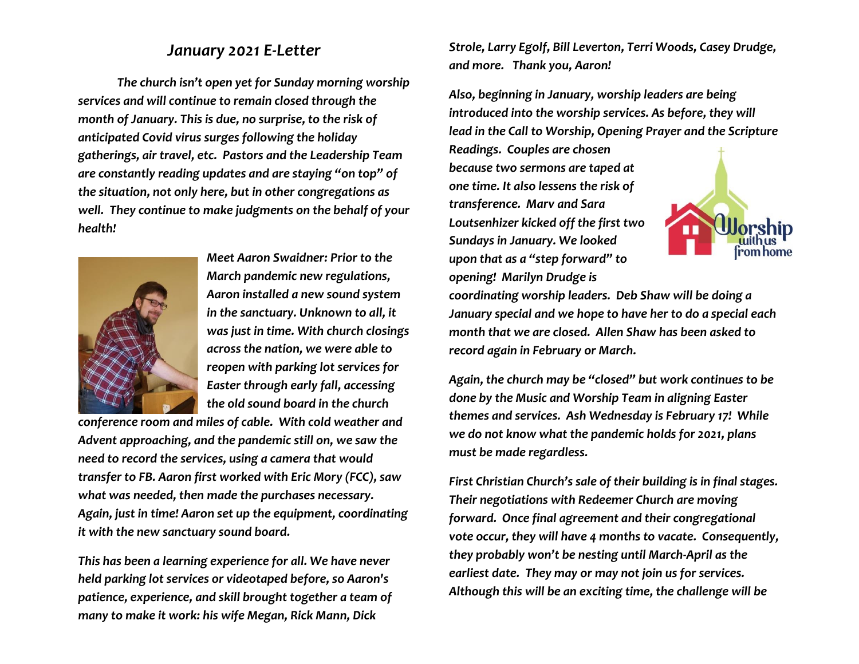## *January 2021 E-Letter*

*The church isn't open yet for Sunday morning worship services and will continue to remain closed through the month of January. This is due, no surprise, to the risk of anticipated Covid virus surges following the holiday gatherings, air travel, etc. Pastors and the Leadership Team are constantly reading updates and are staying "on top" of the situation, not only here, but in other congregations as well. They continue to make judgments on the behalf of your health!*



*Meet Aaron Swaidner: Prior to the March pandemic new regulations, Aaron installed a new sound system in the sanctuary. Unknown to all, it was just in time. With church closings across the nation, we were able to reopen with parking lot services for Easter through early fall, accessing the old sound board in the church* 

*conference room and miles of cable. With cold weather and Advent approaching, and the pandemic still on, we saw the need to record the services, using a camera that would transfer to FB. Aaron first worked with Eric Mory (FCC), saw what was needed, then made the purchases necessary. Again, just in time! Aaron set up the equipment, coordinating it with the new sanctuary sound board.*

*This has been a learning experience for all. We have never held parking lot services or videotaped before, so Aaron's patience, experience, and skill brought together a team of many to make it work: his wife Megan, Rick Mann, Dick* 

*Strole, Larry Egolf, Bill Leverton, Terri Woods, Casey Drudge, and more. Thank you, Aaron!*

*Also, beginning in January, worship leaders are being introduced into the worship services. As before, they will lead in the Call to Worship, Opening Prayer and the Scripture* 

*Readings. Couples are chosen because two sermons are taped at one time. It also lessens the risk of transference. Marv and Sara Loutsenhizer kicked off the first two Sundays in January. We looked upon that as a "step forward" to opening! Marilyn Drudge is* 



*coordinating worship leaders. Deb Shaw will be doing a January special and we hope to have her to do a special each month that we are closed. Allen Shaw has been asked to record again in February or March.*

*Again, the church may be "closed" but work continues to be done by the Music and Worship Team in aligning Easter themes and services. Ash Wednesday is February 17! While we do not know what the pandemic holds for 2021, plans must be made regardless.*

*First Christian Church's sale of their building is in final stages. Their negotiations with Redeemer Church are moving forward. Once final agreement and their congregational vote occur, they will have 4 months to vacate. Consequently, they probably won't be nesting until March-April as the earliest date. They may or may not join us for services. Although this will be an exciting time, the challenge will be*